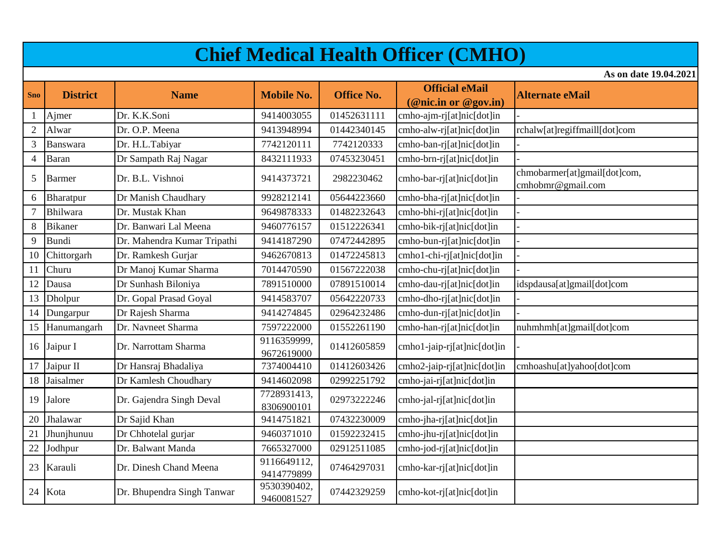## **Chief Medical Health Officer (CMHO)**

**As on date 19.04.2021**

| <b>Sno</b>     | <b>District</b> | <b>Name</b>                 | <b>Mobile No.</b>         | <b>Office No.</b> | <b>Official eMail</b>       | <b>Alternate eMail</b>                            |
|----------------|-----------------|-----------------------------|---------------------------|-------------------|-----------------------------|---------------------------------------------------|
|                |                 |                             |                           |                   | (@nic.in or @gov.in)        |                                                   |
|                | Ajmer           | Dr. K.K.Soni                | 9414003055                | 01452631111       | cmho-ajm-rj[at]nic[dot]in   |                                                   |
| $\mathfrak{2}$ | Alwar           | Dr. O.P. Meena              | 9413948994                | 01442340145       | cmho-alw-rj[at]nic[dot]in   | rchalw[at]regiffmaill[dot]com                     |
| 3              | Banswara        | Dr. H.L.Tabiyar             | 7742120111                | 7742120333        | cmho-ban-rj[at]nic[dot]in   |                                                   |
| $\overline{4}$ | <b>Baran</b>    | Dr Sampath Raj Nagar        | 8432111933                | 07453230451       | cmho-brn-rj[at]nic[dot]in   |                                                   |
| 5              | <b>Barmer</b>   | Dr. B.L. Vishnoi            | 9414373721                | 2982230462        | cmho-bar-rj[at]nic[dot]in   | chmobarmer[at]gmail[dot]com,<br>cmhobmr@gmail.com |
| 6              | Bharatpur       | Dr Manish Chaudhary         | 9928212141                | 05644223660       | cmho-bha-rj[at]nic[dot]in   |                                                   |
| $\tau$         | Bhilwara        | Dr. Mustak Khan             | 9649878333                | 01482232643       | cmho-bhi-rj[at]nic[dot]in   |                                                   |
| 8              | <b>Bikaner</b>  | Dr. Banwari Lal Meena       | 9460776157                | 01512226341       | cmho-bik-rj[at]nic[dot]in   |                                                   |
| 9              | <b>Bundi</b>    | Dr. Mahendra Kumar Tripathi | 9414187290                | 07472442895       | cmho-bun-rj[at]nic[dot]in   |                                                   |
| 10             | Chittorgarh     | Dr. Ramkesh Gurjar          | 9462670813                | 01472245813       | cmho1-chi-rj[at]nic[dot]in  |                                                   |
| 11             | Churu           | Dr Manoj Kumar Sharma       | 7014470590                | 01567222038       | cmho-chu-rj[at]nic[dot]in   |                                                   |
| 12             | Dausa           | Dr Sunhash Biloniya         | 7891510000                | 07891510014       | cmho-dau-rj[at]nic[dot]in   | idspdausa[at]gmail[dot]com                        |
| 13             | Dholpur         | Dr. Gopal Prasad Goyal      | 9414583707                | 05642220733       | cmho-dho-rj[at]nic[dot]in   |                                                   |
| 14             | Dungarpur       | Dr Rajesh Sharma            | 9414274845                | 02964232486       | cmho-dun-rj[at]nic[dot]in   |                                                   |
| 15             | Hanumangarh     | Dr. Navneet Sharma          | 7597222000                | 01552261190       | cmho-han-rj[at]nic[dot]in   | nuhmhmh[at]gmail[dot]com                          |
| 16             | Jaipur I        | Dr. Narrottam Sharma        | 9116359999,<br>9672619000 | 01412605859       | cmho1-jaip-rj[at]nic[dot]in |                                                   |
| 17             | Jaipur II       | Dr Hansraj Bhadaliya        | 7374004410                | 01412603426       | cmho2-jaip-rj[at]nic[dot]in | cmhoashu[at]yahoo[dot]com                         |
| 18             | Jaisalmer       | Dr Kamlesh Choudhary        | 9414602098                | 02992251792       | cmho-jai-rj[at]nic[dot]in   |                                                   |
| 19             | Jalore          | Dr. Gajendra Singh Deval    | 7728931413,<br>8306900101 | 02973222246       | cmho-jal-rj[at]nic[dot]in   |                                                   |
| 20             | Jhalawar        | Dr Sajid Khan               | 9414751821                | 07432230009       | cmho-jha-rj[at]nic[dot]in   |                                                   |
| 21             | Jhunjhunuu      | Dr Chhotelal gurjar         | 9460371010                | 01592232415       | cmho-jhu-rj[at]nic[dot]in   |                                                   |
| 22             | Jodhpur         | Dr. Balwant Manda           | 7665327000                | 02912511085       | cmho-jod-rj[at]nic[dot]in   |                                                   |
| 23             | Karauli         | Dr. Dinesh Chand Meena      | 9116649112,<br>9414779899 | 07464297031       | cmho-kar-rj[at]nic[dot]in   |                                                   |
| 24             | Kota            | Dr. Bhupendra Singh Tanwar  | 9530390402,<br>9460081527 | 07442329259       | cmho-kot-rj[at]nic[dot]in   |                                                   |